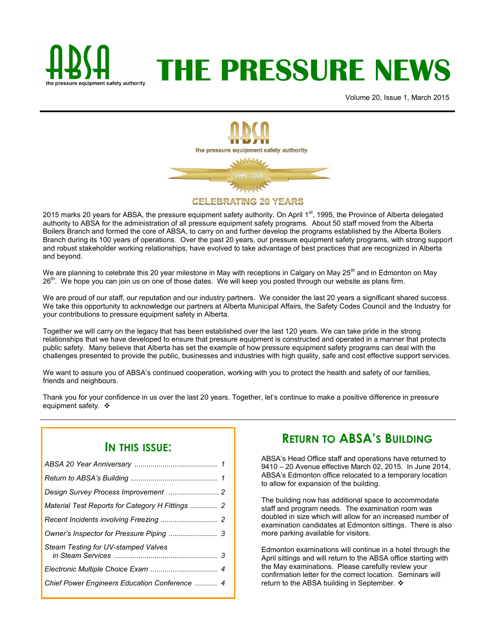

# **THE PRESSURE NEWS**

Volume 20, Issue 1, March 2015



2015 marks 20 years for ABSA, the pressure equipment safety authority. On April 1<sup>st</sup>, 1995, the Province of Alberta delegated authority to ABSA for the administration of all pressure equipment safety programs. About 50 staff moved from the Alberta Boilers Branch and formed the core of ABSA, to carry on and further develop the programs established by the Alberta Boilers Branch during its 100 years of operations. Over the past 20 years, our pressure equipment safety programs, with strong support and robust stakeholder working relationships, have evolved to take advantage of best practices that are recognized in Alberta and beyond.

We are planning to celebrate this 20 year milestone in May with receptions in Calgary on May 25<sup>th</sup> and in Edmonton on May 26<sup>th</sup>. We hope you can join us on one of those dates. We will keep you posted through our website as plans firm.

We are proud of our staff, our reputation and our industry partners. We consider the last 20 years a significant shared success. We take this opportunity to acknowledge our partners at Alberta Municipal Affairs, the Safety Codes Council and the Industry for your contributions to pressure equipment safety in Alberta.

Together we will carry on the legacy that has been established over the last 120 years. We can take pride in the strong relationships that we have developed to ensure that pressure equipment is constructed and operated in a manner that protects public safety. Many believe that Alberta has set the example of how pressure equipment safety programs can deal with the challenges presented to provide the public, businesses and industries with high quality, safe and cost effective support services.

We want to assure you of ABSA's continued cooperation, working with you to protect the health and safety of our families, friends and neighbours.

Thank you for your confidence in us over the last 20 years. Together, let's continue to make a positive difference in pressure equipment safety.  $\cdot$ 

#### **IN THIS ISSUE:**

| Material Test Reports for Category H Fittings  2 |  |
|--------------------------------------------------|--|
|                                                  |  |
|                                                  |  |
| Steam Testing for UV-stamped Valves              |  |
|                                                  |  |
| Chief Power Engineers Education Conference  4    |  |
|                                                  |  |

# **RETURN TO ABSA'S BUILDING**

ABSA's Head Office staff and operations have returned to 9410 – 20 Avenue effective March 02, 2015. In June 2014, ABSA's Edmonton office relocated to a temporary location to allow for expansion of the building.

The building now has additional space to accommodate staff and program needs. The examination room was doubled in size which will allow for an increased number of examination candidates at Edmonton sittings. There is also more parking available for visitors.

Edmonton examinations will continue in a hotel through the April sittings and will return to the ABSA office starting with the May examinations. Please carefully review your confirmation letter for the correct location. Seminars will return to the ABSA building in September. ❖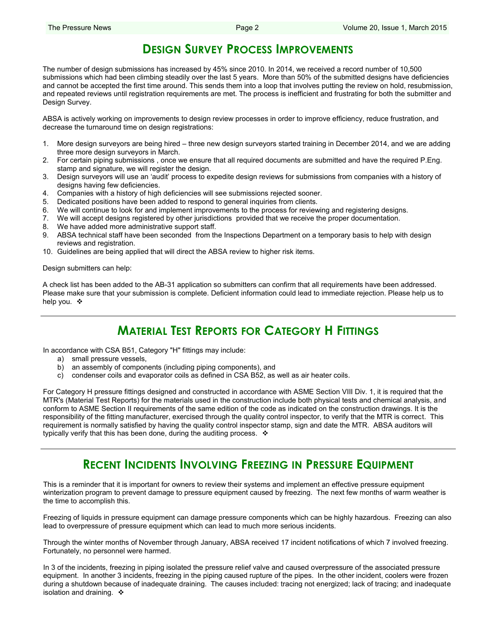## **DESIGN SURVEY PROCESS IMPROVEMENTS**

The number of design submissions has increased by 45% since 2010. In 2014, we received a record number of 10,500 submissions which had been climbing steadily over the last 5 years. More than 50% of the submitted designs have deficiencies and cannot be accepted the first time around. This sends them into a loop that involves putting the review on hold, resubmission, and repeated reviews until registration requirements are met. The process is inefficient and frustrating for both the submitter and Design Survey.

ABSA is actively working on improvements to design review processes in order to improve efficiency, reduce frustration, and decrease the turnaround time on design registrations:

- 1. More design surveyors are being hired three new design surveyors started training in December 2014, and we are adding three more design surveyors in March.
- 2. For certain piping submissions , once we ensure that all required documents are submitted and have the required P.Eng. stamp and signature, we will register the design.
- 3. Design surveyors will use an 'audit' process to expedite design reviews for submissions from companies with a history of designs having few deficiencies.
- 4. Companies with a history of high deficiencies will see submissions rejected sooner.
- 5. Dedicated positions have been added to respond to general inquiries from clients.
- 6. We will continue to look for and implement improvements to the process for reviewing and registering designs.
- 7. We will accept designs registered by other jurisdictions provided that we receive the proper documentation.
- 8. We have added more administrative support staff.
- 9. ABSA technical staff have been seconded from the Inspections Department on a temporary basis to help with design reviews and registration.
- 10. Guidelines are being applied that will direct the ABSA review to higher risk items.

Design submitters can help:

A check list has been added to the AB-31 application so submitters can confirm that all requirements have been addressed. Please make sure that your submission is complete. Deficient information could lead to immediate rejection. Please help us to help you. ❖

# **MATERIAL TEST REPORTS FOR CATEGORY H FITTINGS**

In accordance with CSA B51, Category "H" fittings may include:

- a) small pressure vessels,
- b) an assembly of components (including piping components), and
- c) condenser coils and evaporator coils as defined in CSA B52, as well as air heater coils.

For Category H pressure fittings designed and constructed in accordance with ASME Section VIII Div. 1, it is required that the MTR's (Material Test Reports) for the materials used in the construction include both physical tests and chemical analysis, and conform to ASME Section II requirements of the same edition of the code as indicated on the construction drawings. It is the responsibility of the fitting manufacturer, exercised through the quality control inspector, to verify that the MTR is correct. This requirement is normally satisfied by having the quality control inspector stamp, sign and date the MTR. ABSA auditors will typically verify that this has been done, during the auditing process.  $\cdot$ 

## **RECENT INCIDENTS INVOLVING FREEZING IN PRESSURE EQUIPMENT**

This is a reminder that it is important for owners to review their systems and implement an effective pressure equipment winterization program to prevent damage to pressure equipment caused by freezing. The next few months of warm weather is the time to accomplish this.

Freezing of liquids in pressure equipment can damage pressure components which can be highly hazardous. Freezing can also lead to overpressure of pressure equipment which can lead to much more serious incidents.

Through the winter months of November through January, ABSA received 17 incident notifications of which 7 involved freezing. Fortunately, no personnel were harmed.

In 3 of the incidents, freezing in piping isolated the pressure relief valve and caused overpressure of the associated pressure equipment. In another 3 incidents, freezing in the piping caused rupture of the pipes. In the other incident, coolers were frozen during a shutdown because of inadequate draining. The causes included: tracing not energized; lack of tracing; and inadequate isolation and draining.  $\cdot$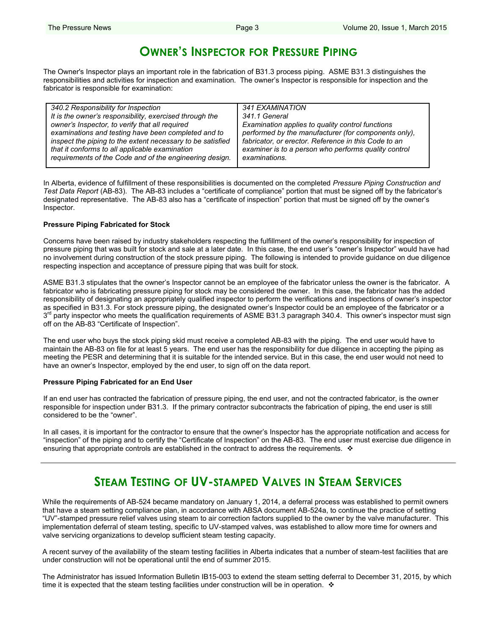# **OWNER'S INSPECTOR FOR PRESSURE PIPING**

The Owner's Inspector plays an important role in the fabrication of B31.3 process piping. ASME B31.3 distinguishes the responsibilities and activities for inspection and examination. The owner's Inspector is responsible for inspection and the fabricator is responsible for examination:

| 340.2 Responsibility for Inspection                        | 341 EXAMINATION                                      |
|------------------------------------------------------------|------------------------------------------------------|
| It is the owner's responsibility, exercised through the    | 341.1 General                                        |
| owner's Inspector, to verify that all required             | Examination applies to quality control functions     |
| examinations and testing have been completed and to        | performed by the manufacturer (for components only), |
| inspect the piping to the extent necessary to be satisfied | fabricator, or erector. Reference in this Code to an |
| that it conforms to all applicable examination             | examiner is to a person who performs quality control |
| requirements of the Code and of the engineering design.    | examinations.                                        |

In Alberta, evidence of fulfillment of these responsibilities is documented on the completed *Pressure Piping Construction and Test Data Report* (AB-83). The AB-83 includes a "certificate of compliance" portion that must be signed off by the fabricator's designated representative. The AB-83 also has a "certificate of inspection" portion that must be signed off by the owner's Inspector.

#### **Pressure Piping Fabricated for Stock**

Concerns have been raised by industry stakeholders respecting the fulfillment of the owner's responsibility for inspection of pressure piping that was built for stock and sale at a later date. In this case, the end user's "owner's Inspector" would have had no involvement during construction of the stock pressure piping. The following is intended to provide guidance on due diligence respecting inspection and acceptance of pressure piping that was built for stock.

ASME B31.3 stipulates that the owner's Inspector cannot be an employee of the fabricator unless the owner is the fabricator. A fabricator who is fabricating pressure piping for stock may be considered the owner. In this case, the fabricator has the added responsibility of designating an appropriately qualified inspector to perform the verifications and inspections of owner's inspector as specified in B31.3. For stock pressure piping, the designated owner's Inspector could be an employee of the fabricator or a 3<sup>rd</sup> party inspector who meets the qualification requirements of ASME B31.3 paragraph 340.4. This owner's inspector must sign off on the AB-83 "Certificate of Inspection".

The end user who buys the stock piping skid must receive a completed AB-83 with the piping. The end user would have to maintain the AB-83 on file for at least 5 years. The end user has the responsibility for due diligence in accepting the piping as meeting the PESR and determining that it is suitable for the intended service. But in this case, the end user would not need to have an owner's Inspector, employed by the end user, to sign off on the data report.

#### **Pressure Piping Fabricated for an End User**

If an end user has contracted the fabrication of pressure piping, the end user, and not the contracted fabricator, is the owner responsible for inspection under B31.3. If the primary contractor subcontracts the fabrication of piping, the end user is still considered to be the "owner".

In all cases, it is important for the contractor to ensure that the owner's Inspector has the appropriate notification and access for "inspection" of the piping and to certify the "Certificate of Inspection" on the AB-83. The end user must exercise due diligence in ensuring that appropriate controls are established in the contract to address the requirements.  $\cdot$ 

## **STEAM TESTING OF UV-STAMPED VALVES IN STEAM SERVICES**

While the requirements of AB-524 became mandatory on January 1, 2014, a deferral process was established to permit owners that have a steam setting compliance plan, in accordance with ABSA document AB-524a, to continue the practice of setting "UV"-stamped pressure relief valves using steam to air correction factors supplied to the owner by the valve manufacturer. This implementation deferral of steam testing, specific to UV-stamped valves, was established to allow more time for owners and valve servicing organizations to develop sufficient steam testing capacity.

A recent survey of the availability of the steam testing facilities in Alberta indicates that a number of steam-test facilities that are under construction will not be operational until the end of summer 2015.

The Administrator has issued Information Bulletin IB15-003 to extend the steam setting deferral to December 31, 2015, by which time it is expected that the steam testing facilities under construction will be in operation.  $\div$